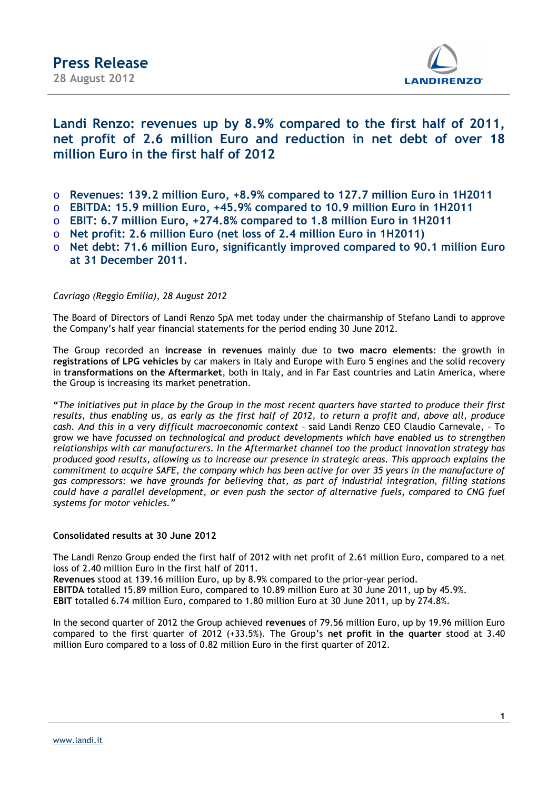

### **Landi Renzo: revenues up by 8.9% compared to the first half of 2011, net profit of 2.6 million Euro and reduction in net debt of over 18 million Euro in the first half of 2012**

- o **Revenues: 139.2 million Euro, +8.9% compared to 127.7 million Euro in 1H2011**
- o **EBITDA: 15.9 million Euro, +45.9% compared to 10.9 million Euro in 1H2011**
- o **EBIT: 6.7 million Euro, +274.8% compared to 1.8 million Euro in 1H2011**
- o **Net profit: 2.6 million Euro (net loss of 2.4 million Euro in 1H2011)**
- o **Net debt: 71.6 million Euro, significantly improved compared to 90.1 million Euro at 31 December 2011.**

### *Cavriago (Reggio Emilia), 28 August 2012*

The Board of Directors of Landi Renzo SpA met today under the chairmanship of Stefano Landi to approve the Company's half year financial statements for the period ending 30 June 2012.

The Group recorded an **increase in revenues** mainly due to **two macro elements**: the growth in **registrations of LPG vehicles** by car makers in Italy and Europe with Euro 5 engines and the solid recovery in **transformations on the Aftermarket**, both in Italy, and in Far East countries and Latin America, where the Group is increasing its market penetration.

**"***The initiatives put in place by the Group in the most recent quarters have started to produce their first results, thus enabling us, as early as the first half of 2012, to return a profit and, above all, produce cash. And this in a very difficult macroeconomic context* – said Landi Renzo CEO Claudio Carnevale, – To grow we have *focussed on technological and product developments which have enabled us to strengthen relationships with car manufacturers. In the Aftermarket channel too the product innovation strategy has produced good results, allowing us to increase our presence in strategic areas. This approach explains the commitment to acquire SAFE, the company which has been active for over 35 years in the manufacture of gas compressors: we have grounds for believing that, as part of industrial integration, filling stations could have a parallel development, or even push the sector of alternative fuels, compared to CNG fuel systems for motor vehicles."* 

#### **Consolidated results at 30 June 2012**

The Landi Renzo Group ended the first half of 2012 with net profit of 2.61 million Euro, compared to a net loss of 2.40 million Euro in the first half of 2011.

**Revenues** stood at 139.16 million Euro, up by 8.9% compared to the prior-year period.

**EBITDA** totalled 15.89 million Euro, compared to 10.89 million Euro at 30 June 2011, up by 45.9%.

**EBIT** totalled 6.74 million Euro, compared to 1.80 million Euro at 30 June 2011, up by 274.8%.

In the second quarter of 2012 the Group achieved **revenues** of 79.56 million Euro, up by 19.96 million Euro compared to the first quarter of 2012 (+33.5%). The Group's **net profit in the quarter** stood at 3.40 million Euro compared to a loss of 0.82 million Euro in the first quarter of 2012.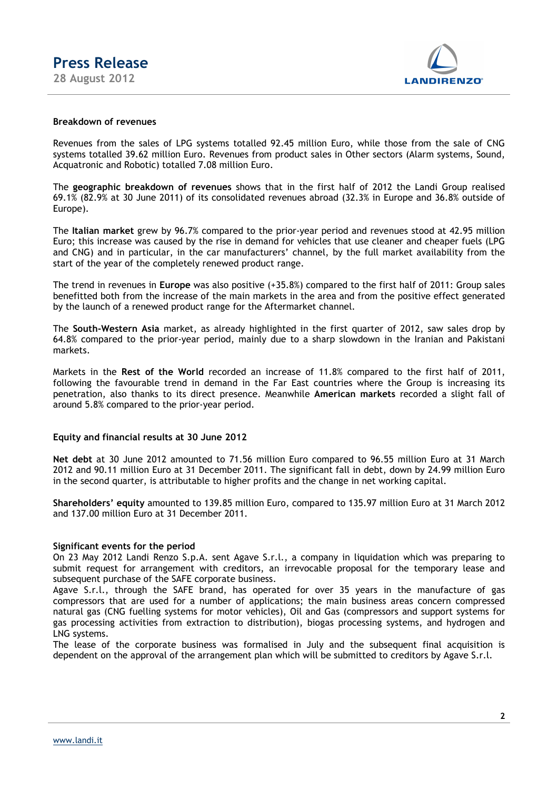

#### **Breakdown of revenues**

Revenues from the sales of LPG systems totalled 92.45 million Euro, while those from the sale of CNG systems totalled 39.62 million Euro. Revenues from product sales in Other sectors (Alarm systems, Sound, Acquatronic and Robotic) totalled 7.08 million Euro.

The **geographic breakdown of revenues** shows that in the first half of 2012 the Landi Group realised 69.1% (82.9% at 30 June 2011) of its consolidated revenues abroad (32.3% in Europe and 36.8% outside of Europe).

The **Italian market** grew by 96.7% compared to the prior-year period and revenues stood at 42.95 million Euro; this increase was caused by the rise in demand for vehicles that use cleaner and cheaper fuels (LPG and CNG) and in particular, in the car manufacturers' channel, by the full market availability from the start of the year of the completely renewed product range.

The trend in revenues in **Europe** was also positive (+35.8%) compared to the first half of 2011: Group sales benefitted both from the increase of the main markets in the area and from the positive effect generated by the launch of a renewed product range for the Aftermarket channel.

The **South-Western Asia** market, as already highlighted in the first quarter of 2012, saw sales drop by 64.8% compared to the prior-year period, mainly due to a sharp slowdown in the Iranian and Pakistani markets.

Markets in the **Rest of the World** recorded an increase of 11.8% compared to the first half of 2011, following the favourable trend in demand in the Far East countries where the Group is increasing its penetration, also thanks to its direct presence. Meanwhile **American markets** recorded a slight fall of around 5.8% compared to the prior-year period.

### **Equity and financial results at 30 June 2012**

**Net debt** at 30 June 2012 amounted to 71.56 million Euro compared to 96.55 million Euro at 31 March 2012 and 90.11 million Euro at 31 December 2011. The significant fall in debt, down by 24.99 million Euro in the second quarter, is attributable to higher profits and the change in net working capital.

**Shareholders' equity** amounted to 139.85 million Euro, compared to 135.97 million Euro at 31 March 2012 and 137.00 million Euro at 31 December 2011.

#### **Significant events for the period**

On 23 May 2012 Landi Renzo S.p.A. sent Agave S.r.l., a company in liquidation which was preparing to submit request for arrangement with creditors, an irrevocable proposal for the temporary lease and subsequent purchase of the SAFE corporate business.

Agave S.r.l., through the SAFE brand, has operated for over 35 years in the manufacture of gas compressors that are used for a number of applications; the main business areas concern compressed natural gas (CNG fuelling systems for motor vehicles), Oil and Gas (compressors and support systems for gas processing activities from extraction to distribution), biogas processing systems, and hydrogen and LNG systems.

The lease of the corporate business was formalised in July and the subsequent final acquisition is dependent on the approval of the arrangement plan which will be submitted to creditors by Agave S.r.l.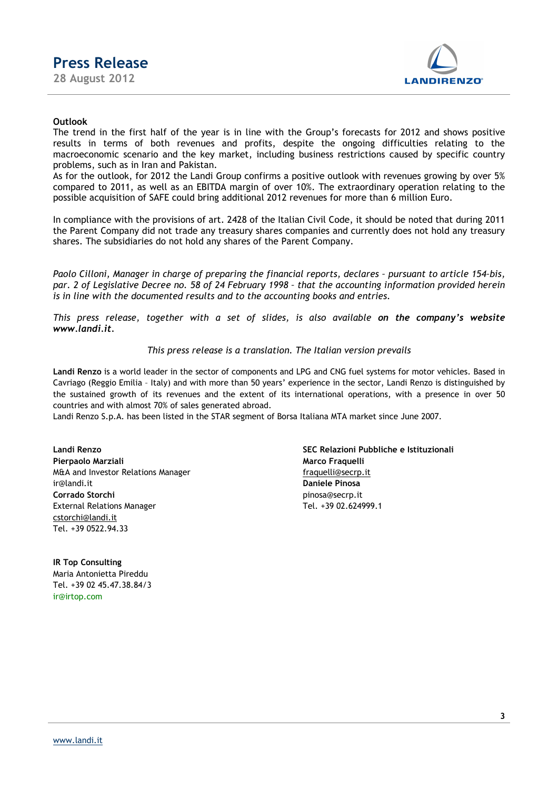

### **Outlook**

The trend in the first half of the year is in line with the Group's forecasts for 2012 and shows positive results in terms of both revenues and profits, despite the ongoing difficulties relating to the macroeconomic scenario and the key market, including business restrictions caused by specific country problems, such as in Iran and Pakistan.

As for the outlook, for 2012 the Landi Group confirms a positive outlook with revenues growing by over 5% compared to 2011, as well as an EBITDA margin of over 10%. The extraordinary operation relating to the possible acquisition of SAFE could bring additional 2012 revenues for more than 6 million Euro.

In compliance with the provisions of art. 2428 of the Italian Civil Code, it should be noted that during 2011 the Parent Company did not trade any treasury shares companies and currently does not hold any treasury shares. The subsidiaries do not hold any shares of the Parent Company.

*Paolo Cilloni, Manager in charge of preparing the financial reports, declares – pursuant to article 154–bis, par. 2 of Legislative Decree no. 58 of 24 February 1998 – that the accounting information provided herein is in line with the documented results and to the accounting books and entries.* 

*This press release, together with a set of slides, is also available on the company's website www.landi.it.*

#### *This press release is a translation. The Italian version prevails*

**Landi Renzo** is a world leader in the sector of components and LPG and CNG fuel systems for motor vehicles. Based in Cavriago (Reggio Emilia – Italy) and with more than 50 years' experience in the sector, Landi Renzo is distinguished by the sustained growth of its revenues and the extent of its international operations, with a presence in over 50 countries and with almost 70% of sales generated abroad.

Landi Renzo S.p.A. has been listed in the STAR segment of Borsa Italiana MTA market since June 2007.

**Pierpaolo Marziali Marco Fraquelli** M&A and Investor Relations Manager fraquelli@secrp.it ir@landi.it **Daniele Pinosa Corrado Storchi** pinosa@secrp.it External Relations Manager Tel. +39 02.624999.1 cstorchi@landi.it Tel. +39 0522.94.33

**IR Top Consulting** Maria Antonietta Pireddu Tel. +39 02 45.47.38.84/3 ir@irtop.com

**Landi Renzo SEC Relazioni Pubbliche e Istituzionali**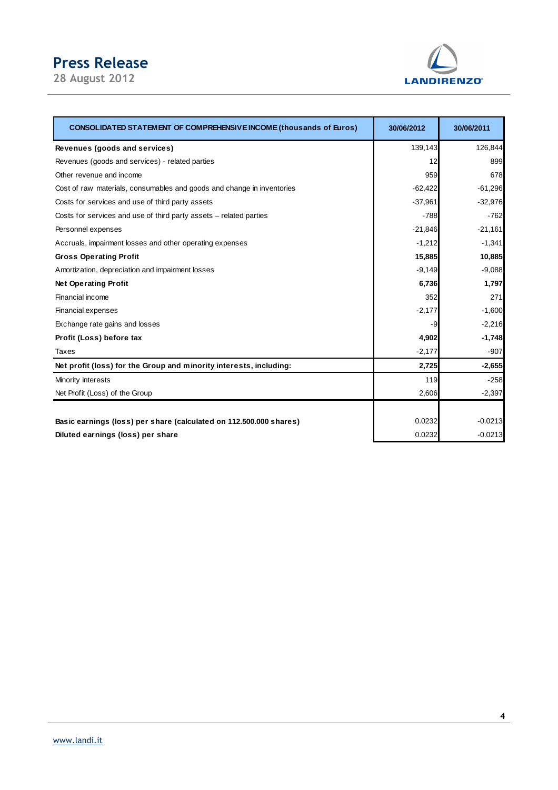# **Press Release**

**28 August 2012** 



| <b>CONSOLIDATED STATEMENT OF COMPREHENSIVE INCOME (thousands of Euros)</b> | 30/06/2012 | 30/06/2011 |
|----------------------------------------------------------------------------|------------|------------|
| Revenues (goods and services)                                              | 139,143    | 126,844    |
| Revenues (goods and services) - related parties                            | 12         | 899        |
| Other revenue and income                                                   | 959        | 678        |
| Cost of raw materials, consumables and goods and change in inventories     | $-62,422$  | $-61,296$  |
| Costs for services and use of third party assets                           | $-37,961$  | $-32,976$  |
| Costs for services and use of third party assets – related parties         | $-788$     | $-762$     |
| Personnel expenses                                                         | $-21,846$  | $-21,161$  |
| Accruals, impairment losses and other operating expenses                   | $-1,212$   | $-1,341$   |
| <b>Gross Operating Profit</b>                                              | 15,885     | 10,885     |
| Amortization, depreciation and impairment losses                           | $-9,149$   | $-9,088$   |
| <b>Net Operating Profit</b>                                                | 6,736      | 1,797      |
| Financial income                                                           | 352        | 271        |
| Financial expenses                                                         | $-2,177$   | $-1,600$   |
| Exchange rate gains and losses                                             | -9         | $-2,216$   |
| Profit (Loss) before tax                                                   | 4,902      | $-1,748$   |
| Taxes                                                                      | $-2,177$   | $-907$     |
| Net profit (loss) for the Group and minority interests, including:         | 2,725      | $-2,655$   |
| Minority interests                                                         | 119        | $-258$     |
| Net Profit (Loss) of the Group                                             | 2,606      | $-2,397$   |
|                                                                            |            |            |
| Basic earnings (loss) per share (calculated on 112.500.000 shares)         | 0.0232     | $-0.0213$  |
| Diluted earnings (loss) per share                                          | 0.0232     | $-0.0213$  |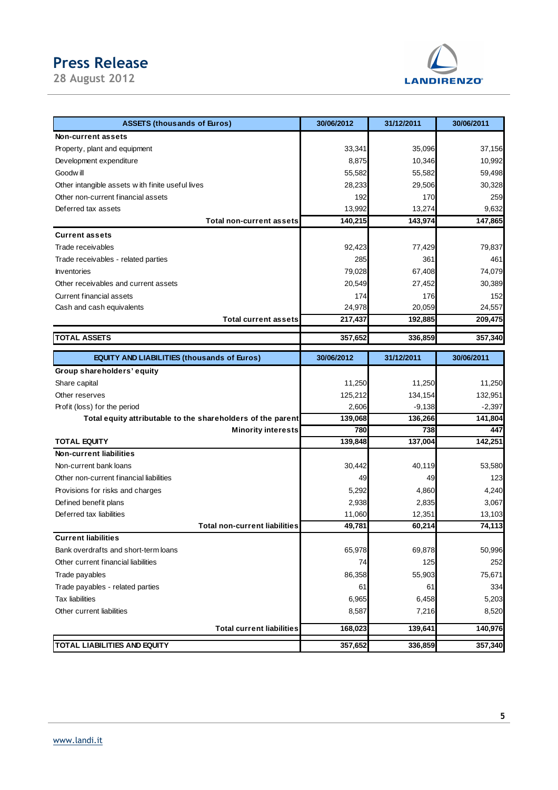# **Press Release**

**28 August 2012** 



| Non-current assets<br>33,341<br>35,096<br>Property, plant and equipment<br>Development expenditure<br>8,875<br>10,346<br>Goodw ill<br>55,582<br>55,582<br>Other intangible assets with finite useful lives<br>28,233<br>29,506<br>Other non-current financial assets<br>192<br>170<br>Deferred tax assets<br>13,992<br>13,274 | 37,156<br>10,992<br>59,498<br>30,328<br>259<br>9,632<br>147,865<br>79,837<br>461<br>74,079<br>30,389<br>152<br>24,557 |
|-------------------------------------------------------------------------------------------------------------------------------------------------------------------------------------------------------------------------------------------------------------------------------------------------------------------------------|-----------------------------------------------------------------------------------------------------------------------|
|                                                                                                                                                                                                                                                                                                                               |                                                                                                                       |
|                                                                                                                                                                                                                                                                                                                               |                                                                                                                       |
|                                                                                                                                                                                                                                                                                                                               |                                                                                                                       |
|                                                                                                                                                                                                                                                                                                                               |                                                                                                                       |
|                                                                                                                                                                                                                                                                                                                               |                                                                                                                       |
|                                                                                                                                                                                                                                                                                                                               |                                                                                                                       |
|                                                                                                                                                                                                                                                                                                                               |                                                                                                                       |
| 140,215<br>143,974<br><b>Total non-current assets</b>                                                                                                                                                                                                                                                                         |                                                                                                                       |
| <b>Current assets</b>                                                                                                                                                                                                                                                                                                         |                                                                                                                       |
| Trade receivables<br>92,423<br>77,429                                                                                                                                                                                                                                                                                         |                                                                                                                       |
| Trade receivables - related parties<br>285<br>361                                                                                                                                                                                                                                                                             |                                                                                                                       |
| 79,028<br>Inventories<br>67,408                                                                                                                                                                                                                                                                                               |                                                                                                                       |
| Other receivables and current assets<br>20,549<br>27,452                                                                                                                                                                                                                                                                      |                                                                                                                       |
| Current financial assets<br>176<br>174                                                                                                                                                                                                                                                                                        |                                                                                                                       |
| 24,978<br>20,059<br>Cash and cash equivalents                                                                                                                                                                                                                                                                                 |                                                                                                                       |
| <b>Total current assets</b><br>217,437<br>192,885                                                                                                                                                                                                                                                                             | 209,475                                                                                                               |
| <b>TOTAL ASSETS</b><br>357,652<br>336,859                                                                                                                                                                                                                                                                                     | 357,340                                                                                                               |
|                                                                                                                                                                                                                                                                                                                               |                                                                                                                       |
| <b>EQUITY AND LIABILITIES (thousands of Euros)</b><br>30/06/2012<br>31/12/2011<br>30/06/2011                                                                                                                                                                                                                                  |                                                                                                                       |
| Group shareholders' equity                                                                                                                                                                                                                                                                                                    |                                                                                                                       |
| Share capital<br>11,250<br>11,250                                                                                                                                                                                                                                                                                             | 11,250                                                                                                                |
| 125,212<br>Other reserves<br>134,154                                                                                                                                                                                                                                                                                          | 132,951                                                                                                               |
| 2,606<br>$-9,138$<br>Profit (loss) for the period                                                                                                                                                                                                                                                                             | $-2,397$                                                                                                              |
| 136,266<br>Total equity attributable to the shareholders of the parent<br>139,068                                                                                                                                                                                                                                             | 141,804                                                                                                               |
| 780<br>738<br><b>Minority interests</b>                                                                                                                                                                                                                                                                                       | 447                                                                                                                   |
| <b>TOTAL EQUITY</b><br>139,848<br>137,004                                                                                                                                                                                                                                                                                     | 142,251                                                                                                               |
| <b>Non-current liabilities</b>                                                                                                                                                                                                                                                                                                |                                                                                                                       |
| Non-current bank loans<br>30,442<br>40,119                                                                                                                                                                                                                                                                                    | 53,580                                                                                                                |
| Other non-current financial liabilities<br>49<br>49                                                                                                                                                                                                                                                                           | 123                                                                                                                   |
| 5,292<br>Provisions for risks and charges<br>4,860                                                                                                                                                                                                                                                                            | 4,240                                                                                                                 |
| 2,938<br>2,835<br>Defined benefit plans                                                                                                                                                                                                                                                                                       | 3,067                                                                                                                 |
| Deferred tax liabilities<br>11,060<br>12,351                                                                                                                                                                                                                                                                                  | 13,103                                                                                                                |
| 49,781<br>60,214<br><b>Total non-current liabilities</b>                                                                                                                                                                                                                                                                      | 74,113                                                                                                                |
| <b>Current liabilities</b>                                                                                                                                                                                                                                                                                                    |                                                                                                                       |
| 65,978<br>69,878<br>Bank overdrafts and short-term loans                                                                                                                                                                                                                                                                      | 50,996                                                                                                                |
| Other current financial liabilities<br>125<br>74                                                                                                                                                                                                                                                                              | 252                                                                                                                   |
| 86,358<br>55,903<br>Trade payables                                                                                                                                                                                                                                                                                            | 75,671                                                                                                                |
| Trade payables - related parties<br>61<br>61                                                                                                                                                                                                                                                                                  | 334                                                                                                                   |
| <b>Tax liabilities</b><br>6,965<br>6,458                                                                                                                                                                                                                                                                                      | 5,203                                                                                                                 |
| Other current liabilities<br>8,587<br>7,216                                                                                                                                                                                                                                                                                   | 8,520                                                                                                                 |
| <b>Total current liabilities</b><br>168,023<br>139,641                                                                                                                                                                                                                                                                        | 140,976                                                                                                               |
| TOTAL LIABILITIES AND EQUITY<br>357,652<br>336,859<br>357,340                                                                                                                                                                                                                                                                 |                                                                                                                       |